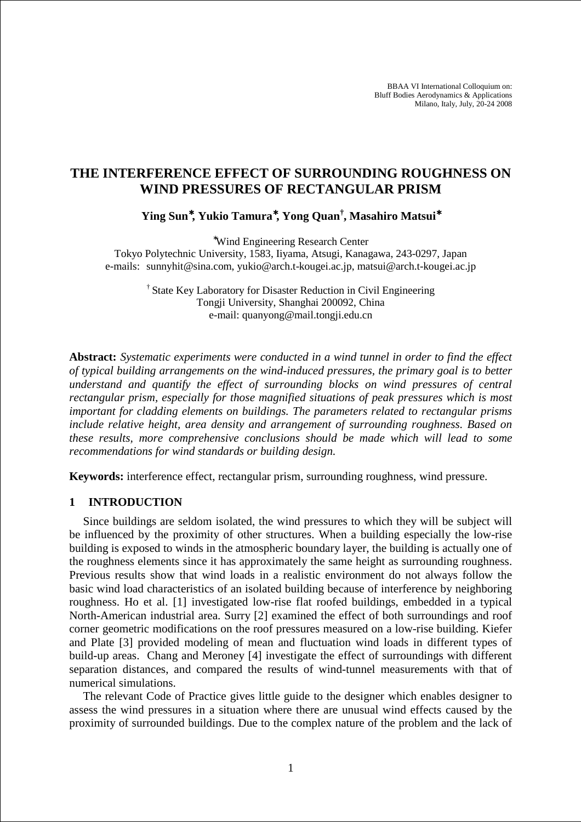BBAA VI International Colloquium on: Bluff Bodies Aerodynamics & Applications Milano, Italy, July, 20-24 2008

# **THE INTERFERENCE EFFECT OF SURROUNDING ROUGHNESS ON WIND PRESSURES OF RECTANGULAR PRISM**

**Ying Sun**<sup>∗</sup>**, Yukio Tamura**<sup>∗</sup>**, Yong Quan† , Masahiro Matsui**<sup>∗</sup>

<sup>∗</sup>Wind Engineering Research Center

Tokyo Polytechnic University, 1583, Iiyama, Atsugi, Kanagawa, 243-0297, Japan e-mails: sunnyhit@sina.com, yukio@arch.t-kougei.ac.jp, matsui@arch.t-kougei.ac.jp

> † State Key Laboratory for Disaster Reduction in Civil Engineering Tongji University, Shanghai 200092, China e-mail: quanyong@mail.tongji.edu.cn

**Abstract:** *Systematic experiments were conducted in a wind tunnel in order to find the effect of typical building arrangements on the wind-induced pressures, the primary goal is to better understand and quantify the effect of surrounding blocks on wind pressures of central rectangular prism, especially for those magnified situations of peak pressures which is most important for cladding elements on buildings. The parameters related to rectangular prisms include relative height, area density and arrangement of surrounding roughness. Based on these results, more comprehensive conclusions should be made which will lead to some recommendations for wind standards or building design.* 

**Keywords:** interference effect, rectangular prism, surrounding roughness, wind pressure.

# **1 INTRODUCTION**

Since buildings are seldom isolated, the wind pressures to which they will be subject will be influenced by the proximity of other structures. When a building especially the low-rise building is exposed to winds in the atmospheric boundary layer, the building is actually one of the roughness elements since it has approximately the same height as surrounding roughness. Previous results show that wind loads in a realistic environment do not always follow the basic wind load characteristics of an isolated building because of interference by neighboring roughness. Ho et al. [1] investigated low-rise flat roofed buildings, embedded in a typical North-American industrial area. Surry [2] examined the effect of both surroundings and roof corner geometric modifications on the roof pressures measured on a low-rise building. Kiefer and Plate [3] provided modeling of mean and fluctuation wind loads in different types of build-up areas. Chang and Meroney [4] investigate the effect of surroundings with different separation distances, and compared the results of wind-tunnel measurements with that of numerical simulations.

The relevant Code of Practice gives little guide to the designer which enables designer to assess the wind pressures in a situation where there are unusual wind effects caused by the proximity of surrounded buildings. Due to the complex nature of the problem and the lack of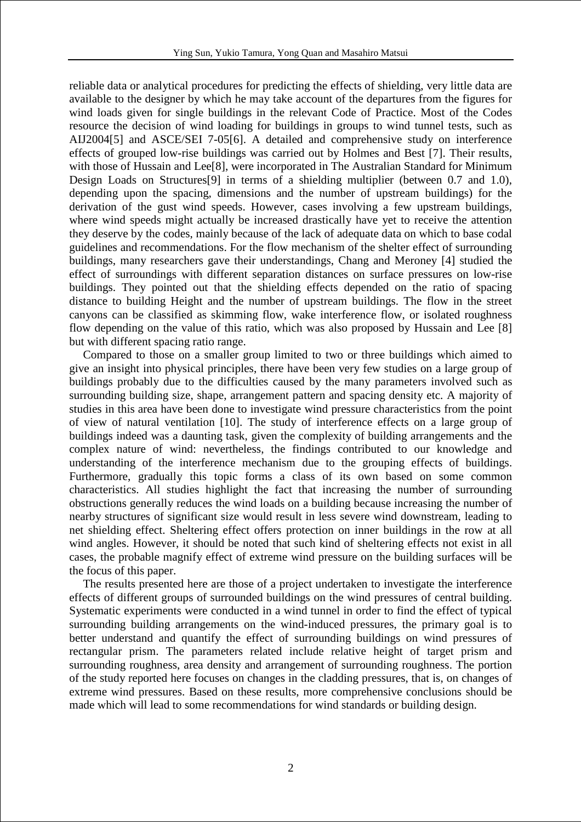reliable data or analytical procedures for predicting the effects of shielding, very little data are available to the designer by which he may take account of the departures from the figures for wind loads given for single buildings in the relevant Code of Practice. Most of the Codes resource the decision of wind loading for buildings in groups to wind tunnel tests, such as AIJ2004[5] and ASCE/SEI 7-05[6]. A detailed and comprehensive study on interference effects of grouped low-rise buildings was carried out by Holmes and Best [7]. Their results, with those of Hussain and Lee<sup>[8]</sup>, were incorporated in The Australian Standard for Minimum Design Loads on Structures[9] in terms of a shielding multiplier (between 0.7 and 1.0), depending upon the spacing, dimensions and the number of upstream buildings) for the derivation of the gust wind speeds. However, cases involving a few upstream buildings, where wind speeds might actually be increased drastically have yet to receive the attention they deserve by the codes, mainly because of the lack of adequate data on which to base codal guidelines and recommendations. For the flow mechanism of the shelter effect of surrounding buildings, many researchers gave their understandings, Chang and Meroney [4] studied the effect of surroundings with different separation distances on surface pressures on low-rise buildings. They pointed out that the shielding effects depended on the ratio of spacing distance to building Height and the number of upstream buildings. The flow in the street canyons can be classified as skimming flow, wake interference flow, or isolated roughness flow depending on the value of this ratio, which was also proposed by Hussain and Lee [8] but with different spacing ratio range.

Compared to those on a smaller group limited to two or three buildings which aimed to give an insight into physical principles, there have been very few studies on a large group of buildings probably due to the difficulties caused by the many parameters involved such as surrounding building size, shape, arrangement pattern and spacing density etc. A majority of studies in this area have been done to investigate wind pressure characteristics from the point of view of natural ventilation [10]. The study of interference effects on a large group of buildings indeed was a daunting task, given the complexity of building arrangements and the complex nature of wind: nevertheless, the findings contributed to our knowledge and understanding of the interference mechanism due to the grouping effects of buildings. Furthermore, gradually this topic forms a class of its own based on some common characteristics. All studies highlight the fact that increasing the number of surrounding obstructions generally reduces the wind loads on a building because increasing the number of nearby structures of significant size would result in less severe wind downstream, leading to net shielding effect. Sheltering effect offers protection on inner buildings in the row at all wind angles. However, it should be noted that such kind of sheltering effects not exist in all cases, the probable magnify effect of extreme wind pressure on the building surfaces will be the focus of this paper.

The results presented here are those of a project undertaken to investigate the interference effects of different groups of surrounded buildings on the wind pressures of central building. Systematic experiments were conducted in a wind tunnel in order to find the effect of typical surrounding building arrangements on the wind-induced pressures, the primary goal is to better understand and quantify the effect of surrounding buildings on wind pressures of rectangular prism. The parameters related include relative height of target prism and surrounding roughness, area density and arrangement of surrounding roughness. The portion of the study reported here focuses on changes in the cladding pressures, that is, on changes of extreme wind pressures. Based on these results, more comprehensive conclusions should be made which will lead to some recommendations for wind standards or building design.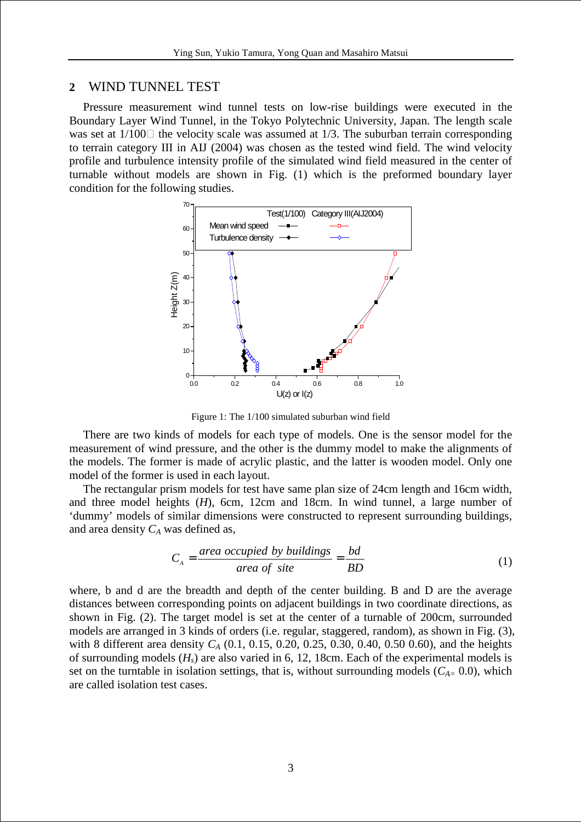# **2** WIND TUNNEL TEST

Pressure measurement wind tunnel tests on low-rise buildings were executed in the Boundary Layer Wind Tunnel, in the Tokyo Polytechnic University, Japan. The length scale was set at  $1/100$  the velocity scale was assumed at  $1/3$ . The suburban terrain corresponding to terrain category III in AIJ (2004) was chosen as the tested wind field. The wind velocity profile and turbulence intensity profile of the simulated wind field measured in the center of turnable without models are shown in Fig. (1) which is the preformed boundary layer condition for the following studies.



Figure 1: The 1/100 simulated suburban wind field

There are two kinds of models for each type of models. One is the sensor model for the measurement of wind pressure, and the other is the dummy model to make the alignments of the models. The former is made of acrylic plastic, and the latter is wooden model. Only one model of the former is used in each layout.

The rectangular prism models for test have same plan size of 24cm length and 16cm width, and three model heights (*H*), 6cm, 12cm and 18cm. In wind tunnel, a large number of 'dummy' models of similar dimensions were constructed to represent surrounding buildings, and area density *CA* was defined as,

$$
C_A = \frac{\text{area occupied by buildings}}{\text{area of site}} = \frac{bd}{BD} \tag{1}
$$

where, b and d are the breadth and depth of the center building. B and D are the average distances between corresponding points on adjacent buildings in two coordinate directions, as shown in Fig. (2). The target model is set at the center of a turnable of 200cm, surrounded models are arranged in 3 kinds of orders (i.e. regular, staggered, random), as shown in Fig. (3), with 8 different area density *C<sup>A</sup>* (0.1, 0.15, 0.20, 0.25, 0.30, 0.40, 0.50 0.60), and the heights of surrounding models  $(H_s)$  are also varied in 6, 12, 18cm. Each of the experimental models is set on the turntable in isolation settings, that is, without surrounding models  $(C_{A=} 0.0)$ , which are called isolation test cases.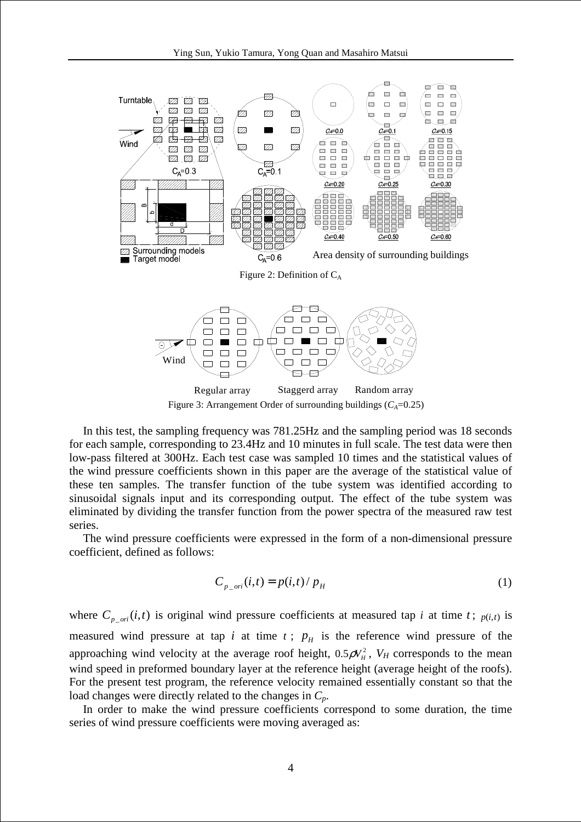

Figure 3: Arrangement Order of surrounding buildings  $(C_A=0.25)$ 

In this test, the sampling frequency was 781.25Hz and the sampling period was 18 seconds for each sample, corresponding to 23.4Hz and 10 minutes in full scale. The test data were then low-pass filtered at 300Hz. Each test case was sampled 10 times and the statistical values of the wind pressure coefficients shown in this paper are the average of the statistical value of these ten samples. The transfer function of the tube system was identified according to sinusoidal signals input and its corresponding output. The effect of the tube system was eliminated by dividing the transfer function from the power spectra of the measured raw test series.

The wind pressure coefficients were expressed in the form of a non-dimensional pressure coefficient, defined as follows:

$$
C_{p\_ori}(i,t) = p(i,t) / p_H
$$
 (1)

where  $C_{p\_ori}(i,t)$  is original wind pressure coefficients at measured tap *i* at time *t*;  $p(i,t)$  is measured wind pressure at tap *i* at time  $t$ ;  $p<sub>H</sub>$  is the reference wind pressure of the approaching wind velocity at the average roof height,  $0.5\rho V_H^2$ ,  $V_H$  corresponds to the mean wind speed in preformed boundary layer at the reference height (average height of the roofs). For the present test program, the reference velocity remained essentially constant so that the load changes were directly related to the changes in *Cp*.

In order to make the wind pressure coefficients correspond to some duration, the time series of wind pressure coefficients were moving averaged as: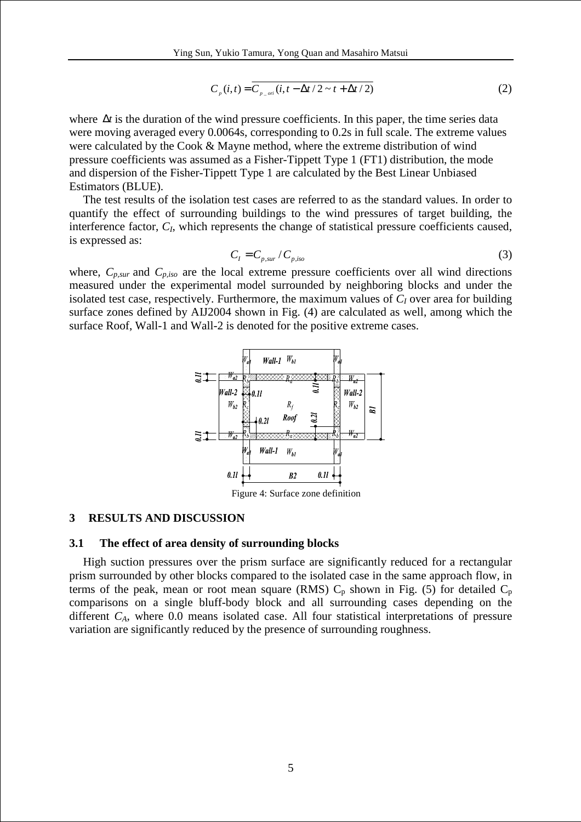$$
C_p(i,t) = \overline{C_{p\_ori}(i, t - \Delta t / 2 \sim t + \Delta t / 2)}
$$
 (2)

where ∆*t* is the duration of the wind pressure coefficients. In this paper, the time series data were moving averaged every 0.0064s, corresponding to 0.2s in full scale. The extreme values were calculated by the Cook & Mayne method, where the extreme distribution of wind pressure coefficients was assumed as a Fisher-Tippett Type 1 (FT1) distribution, the mode and dispersion of the Fisher-Tippett Type 1 are calculated by the Best Linear Unbiased Estimators (BLUE).

The test results of the isolation test cases are referred to as the standard values. In order to quantify the effect of surrounding buildings to the wind pressures of target building, the interference factor, *C<sup>I</sup>* , which represents the change of statistical pressure coefficients caused, is expressed as:

$$
C_{I} = C_{p,sur} / C_{p,iso}
$$
 (3)

where,  $C_{p,sur}$  and  $C_{p,iso}$  are the local extreme pressure coefficients over all wind directions measured under the experimental model surrounded by neighboring blocks and under the isolated test case, respectively. Furthermore, the maximum values of  $C_I$  over area for building surface zones defined by AIJ2004 shown in Fig. (4) are calculated as well, among which the surface Roof, Wall-1 and Wall-2 is denoted for the positive extreme cases.



Figure 4: Surface zone definition

### **3 RESULTS AND DISCUSSION**

#### **3.1 The effect of area density of surrounding blocks**

High suction pressures over the prism surface are significantly reduced for a rectangular prism surrounded by other blocks compared to the isolated case in the same approach flow, in terms of the peak, mean or root mean square (RMS)  $C_p$  shown in Fig. (5) for detailed  $C_p$ comparisons on a single bluff-body block and all surrounding cases depending on the different *CA*, where 0.0 means isolated case. All four statistical interpretations of pressure variation are significantly reduced by the presence of surrounding roughness.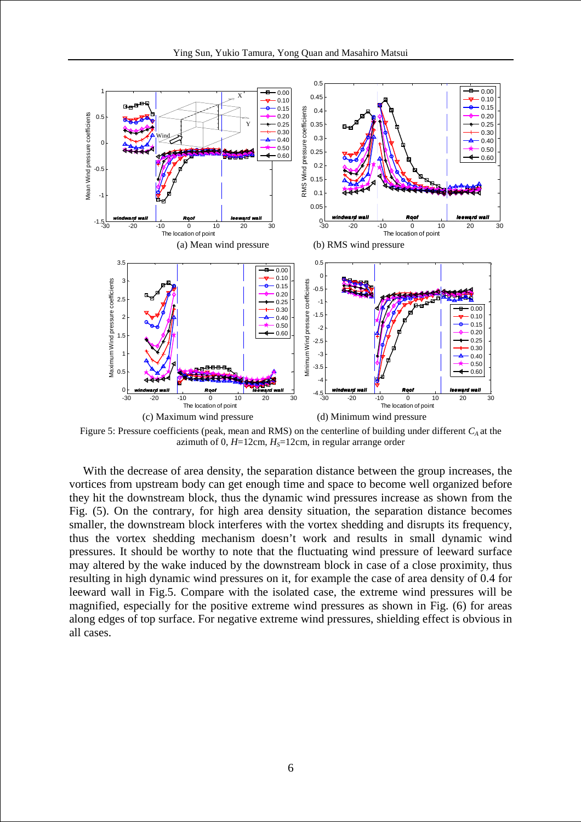

Figure 5: Pressure coefficients (peak, mean and RMS) on the centerline of building under different *CA* at the azimuth of 0,  $H=12$ cm,  $H<sub>S</sub>=12$ cm, in regular arrange order

With the decrease of area density, the separation distance between the group increases, the vortices from upstream body can get enough time and space to become well organized before they hit the downstream block, thus the dynamic wind pressures increase as shown from the Fig. (5). On the contrary, for high area density situation, the separation distance becomes smaller, the downstream block interferes with the vortex shedding and disrupts its frequency, thus the vortex shedding mechanism doesn't work and results in small dynamic wind pressures. It should be worthy to note that the fluctuating wind pressure of leeward surface may altered by the wake induced by the downstream block in case of a close proximity, thus resulting in high dynamic wind pressures on it, for example the case of area density of 0.4 for leeward wall in Fig.5. Compare with the isolated case, the extreme wind pressures will be magnified, especially for the positive extreme wind pressures as shown in Fig. (6) for areas along edges of top surface. For negative extreme wind pressures, shielding effect is obvious in all cases.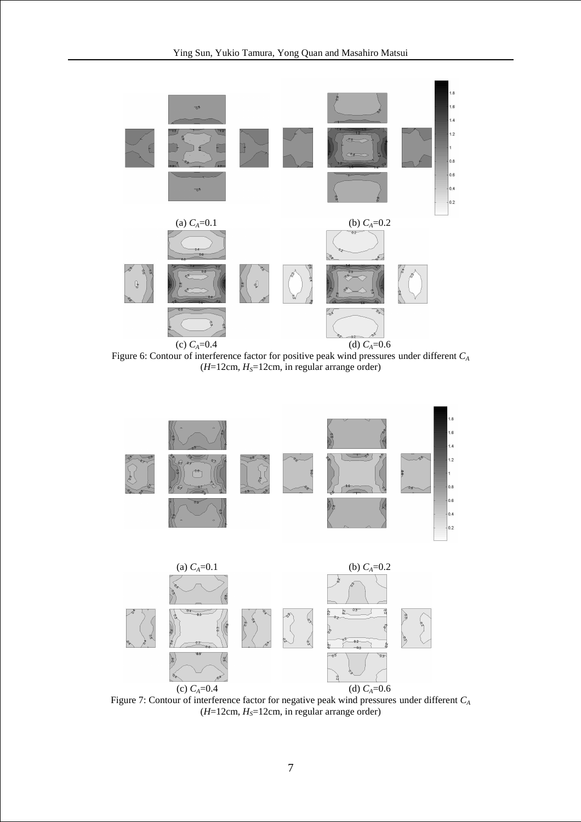

Figure 6: Contour of interference factor for positive peak wind pressures under different *C<sup>A</sup>* (*H*=12cm, *HS*=12cm, in regular arrange order)



Figure 7: Contour of interference factor for negative peak wind pressures under different *C<sup>A</sup>*  $(H=12cm, H<sub>S</sub>=12cm, in regular arrange order)$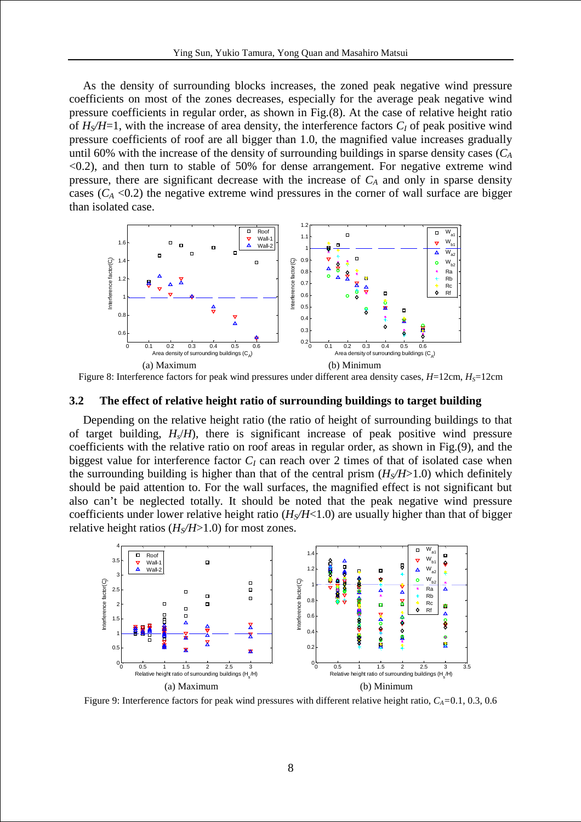As the density of surrounding blocks increases, the zoned peak negative wind pressure coefficients on most of the zones decreases, especially for the average peak negative wind pressure coefficients in regular order, as shown in Fig.(8). At the case of relative height ratio of  $H_S/H=1$ , with the increase of area density, the interference factors  $C_I$  of peak positive wind pressure coefficients of roof are all bigger than 1.0, the magnified value increases gradually until 60% with the increase of the density of surrounding buildings in sparse density cases (*C<sup>A</sup>*  $\langle 0.2 \rangle$ , and then turn to stable of 50% for dense arrangement. For negative extreme wind pressure, there are significant decrease with the increase of *CA* and only in sparse density cases  $(C_A < 0.2)$  the negative extreme wind pressures in the corner of wall surface are bigger than isolated case.



Figure 8: Interference factors for peak wind pressures under different area density cases,  $H=12$ cm,  $H<sub>S</sub>=12$ cm

#### **3.2 The effect of relative height ratio of surrounding buildings to target building**

Depending on the relative height ratio (the ratio of height of surrounding buildings to that of target building,  $H_s/H$ ), there is significant increase of peak positive wind pressure coefficients with the relative ratio on roof areas in regular order, as shown in Fig.(9), and the biggest value for interference factor  $C_I$  can reach over 2 times of that of isolated case when the surrounding building is higher than that of the central prism  $(H_S/H>1.0)$  which definitely should be paid attention to. For the wall surfaces, the magnified effect is not significant but also can't be neglected totally. It should be noted that the peak negative wind pressure coefficients under lower relative height ratio  $(H<sub>S</sub>/H<1.0)$  are usually higher than that of bigger relative height ratios  $(H<sub>S</sub>/H>1.0)$  for most zones.



Figure 9: Interference factors for peak wind pressures with different relative height ratio,  $C_A = 0.1, 0.3, 0.6$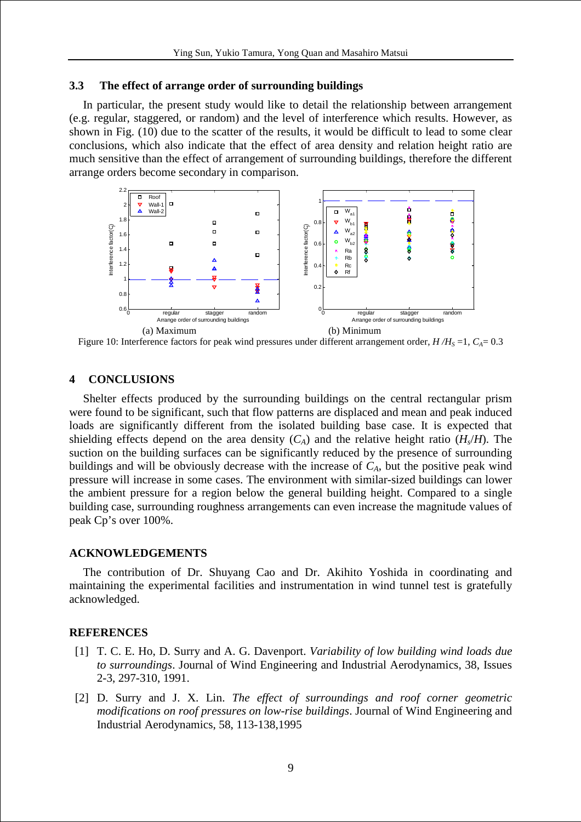### **3.3 The effect of arrange order of surrounding buildings**

In particular, the present study would like to detail the relationship between arrangement (e.g. regular, staggered, or random) and the level of interference which results. However, as shown in Fig. (10) due to the scatter of the results, it would be difficult to lead to some clear conclusions, which also indicate that the effect of area density and relation height ratio are much sensitive than the effect of arrangement of surrounding buildings, therefore the different arrange orders become secondary in comparison.



Figure 10: Interference factors for peak wind pressures under different arrangement order,  $H/H<sub>S</sub> = 1$ ,  $C<sub>A</sub> = 0.3$ 

# **4 CONCLUSIONS**

Shelter effects produced by the surrounding buildings on the central rectangular prism were found to be significant, such that flow patterns are displaced and mean and peak induced loads are significantly different from the isolated building base case. It is expected that shielding effects depend on the area density  $(C_A)$  and the relative height ratio  $(H_s/H)$ . The suction on the building surfaces can be significantly reduced by the presence of surrounding buildings and will be obviously decrease with the increase of  $C_A$ , but the positive peak wind pressure will increase in some cases. The environment with similar-sized buildings can lower the ambient pressure for a region below the general building height. Compared to a single building case, surrounding roughness arrangements can even increase the magnitude values of peak Cp's over 100%.

## **ACKNOWLEDGEMENTS**

The contribution of Dr. Shuyang Cao and Dr. Akihito Yoshida in coordinating and maintaining the experimental facilities and instrumentation in wind tunnel test is gratefully acknowledged.

#### **REFERENCES**

- [1] T. C. E. Ho, D. Surry and A. G. Davenport. *Variability of low building wind loads due to surroundings*. Journal of Wind Engineering and Industrial Aerodynamics, 38, Issues 2-3, 297-310, 1991.
- [2] D. Surry and J. X. Lin. *The effect of surroundings and roof corner geometric modifications on roof pressures on low-rise buildings*. Journal of Wind Engineering and Industrial Aerodynamics, 58, 113-138,1995